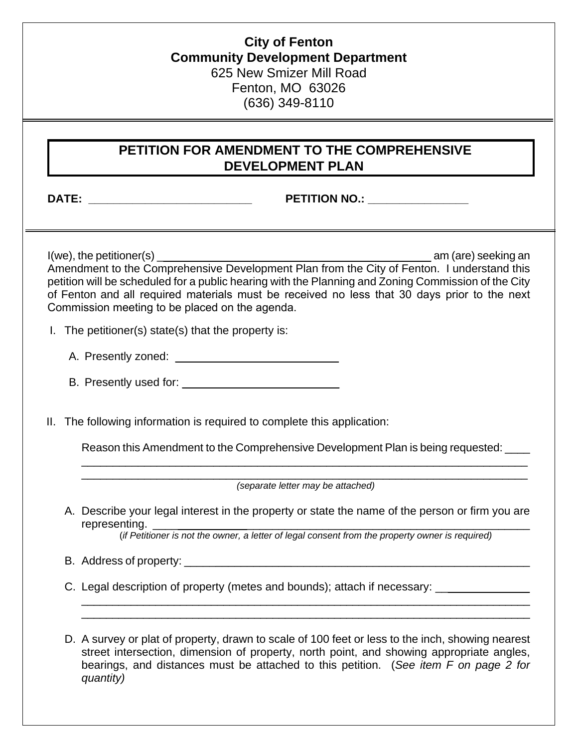## **City of Fenton Community Development Department** 625 New Smizer Mill Road Fenton, MO 63026 (636) 349-8110

## **PETITION FOR AMENDMENT TO THE COMPREHENSIVE DEVELOPMENT PLAN**

## **DATE: \_\_\_\_\_\_\_\_\_\_\_\_\_\_\_\_\_\_\_\_\_\_\_\_\_\_ PETITION NO.: \_\_\_\_\_\_\_\_\_\_\_\_\_\_\_\_**

 $I(we)$ , the petitioner(s)  $\Box$  am (are) seeking an Amendment to the Comprehensive Development Plan from the City of Fenton. I understand this petition will be scheduled for a public hearing with the Planning and Zoning Commission of the City of Fenton and all required materials must be received no less that 30 days prior to the next Commission meeting to be placed on the agenda.

- I. The petitioner(s) state(s) that the property is:
	- A. Presently zoned:  $\blacksquare$
	- B. Presently used for: \_\_\_\_\_\_\_\_\_\_\_\_\_\_\_\_\_\_\_\_\_\_\_\_\_

II. The following information is required to complete this application:

Reason this Amendment to the Comprehensive Development Plan is being requested: \_\_\_\_

\_\_\_\_\_\_\_\_\_\_\_\_\_\_\_\_\_\_\_\_\_\_\_\_\_\_\_\_\_\_\_\_\_\_\_\_\_\_\_\_\_\_\_\_\_\_\_\_\_\_\_\_\_\_\_\_\_\_\_\_\_\_\_\_\_\_\_\_\_\_\_ *(separate letter may be attached)* 

\_\_\_\_\_\_\_\_\_\_\_\_\_\_\_\_\_\_\_\_\_\_\_\_\_\_\_\_\_\_\_\_\_\_\_\_\_\_\_\_\_\_\_\_\_\_\_\_\_\_\_\_\_\_\_\_\_\_\_\_\_\_\_\_\_\_\_\_\_\_\_

A. Describe your legal interest in the property or state the name of the person or firm you are representing.

(*if Petitioner is not the owner, a letter of legal consent from the property owner is required)* 

 $\_$  , and the set of the set of the set of the set of the set of the set of the set of the set of the set of the set of the set of the set of the set of the set of the set of the set of the set of the set of the set of th  $\_$  , and the set of the set of the set of the set of the set of the set of the set of the set of the set of the set of the set of the set of the set of the set of the set of the set of the set of the set of the set of th

- B. Address of property: \_\_\_\_\_\_\_\_\_\_\_\_\_\_\_\_\_\_\_\_\_\_\_\_\_\_\_\_\_\_\_\_\_\_\_\_\_\_\_\_\_\_\_\_\_\_\_\_\_\_\_\_\_\_\_
- C. Legal description of property (metes and bounds); attach if necessary: \_\_\_\_\_\_\_\_

D. A survey or plat of property, drawn to scale of 100 feet or less to the inch, showing nearest street intersection, dimension of property, north point, and showing appropriate angles, bearings, and distances must be attached to this petition. (*See item F on page 2 for quantity)*